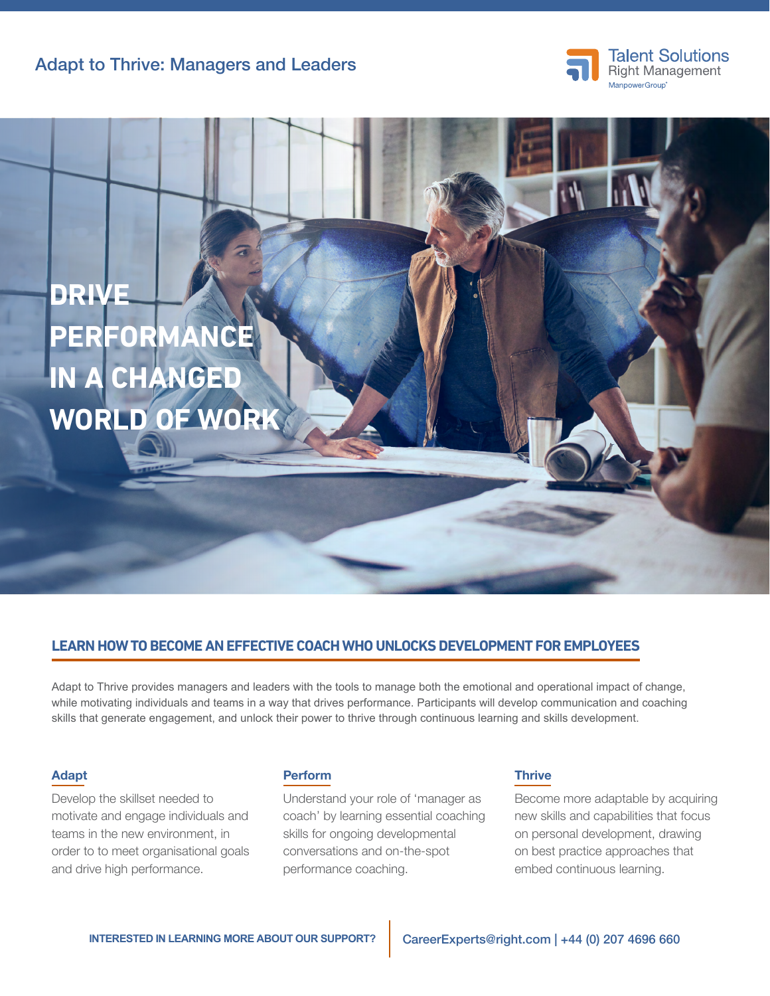Adapt to Thrive: Managers and Leaders





# **LEARN HOW TO BECOME AN EFFECTIVE COACH WHO UNLOCKS DEVELOPMENT FOR EMPLOYEES**

Adapt to Thrive provides managers and leaders with the tools to manage both the emotional and operational impact of change, while motivating individuals and teams in a way that drives performance. Participants will develop communication and coaching skills that generate engagement, and unlock their power to thrive through continuous learning and skills development.

#### Adapt

Develop the skillset needed to motivate and engage individuals and teams in the new environment, in order to to meet organisational goals and drive high performance.

## Perform

Understand your role of 'manager as coach' by learning essential coaching skills for ongoing developmental conversations and on-the-spot performance coaching.

### **Thrive**

Become more adaptable by acquiring new skills and capabilities that focus on personal development, drawing on best practice approaches that embed continuous learning.